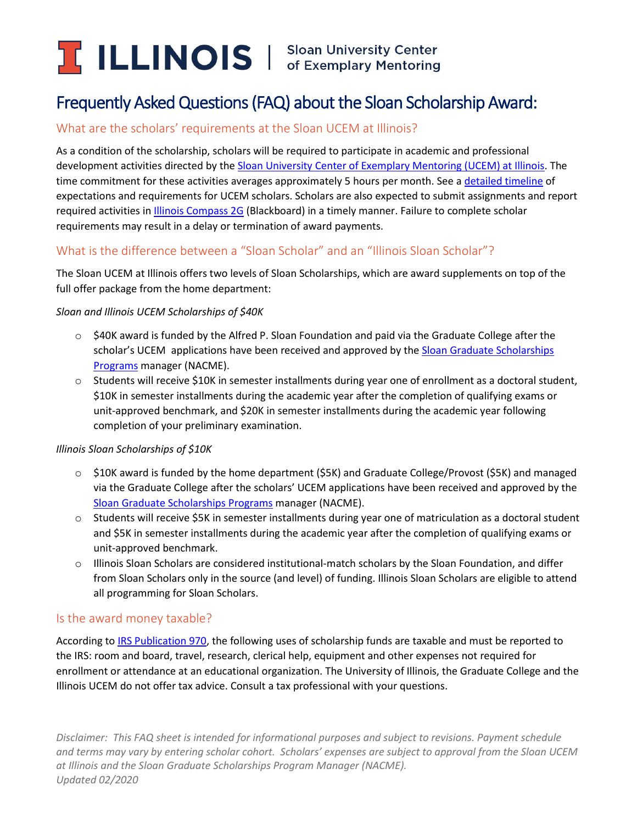# **ILLINOIS** Sloan University Center

## Frequently Asked Questions (FAQ) about the Sloan Scholarship Award:

## What are the scholars' requirements at the Sloan UCEM at Illinois?

As a condition of the scholarship, scholars will be required to participate in academic and professional development activities directed by the Sloan University Center [of Exemplary Mentoring \(UCEM\) at Illinois.](http://www.grad.illinois.edu/diversity/sloan-ucem-scholars) The time commitment for these activities averages approximately 5 hours per month. See a [detailed timeline](https://grad.illinois.edu/files/pdfs/sloan-ucem-scholar-multi-year-timeline.pdf) of expectations and requirements for UCEM scholars. Scholars are also expected to submit assignments and report required activities in [Illinois Compass 2G](https://compass2g.illinois.edu/webapps/login/) (Blackboard) in a timely manner. Failure to complete scholar requirements may result in a delay or termination of award payments.

## What is the difference between a "Sloan Scholar" and an "Illinois Sloan Scholar"?

The Sloan UCEM at Illinois offers two levels of Sloan Scholarships, which are award supplements on top of the full offer package from the home department:

#### *Sloan and Illinois UCEM Scholarships of \$40K*

- $\circ$  \$40K award is funded by the Alfred P. Sloan Foundation and paid via the Graduate College after the scholar's UCEM applications have been received and approved by th[e Sloan Graduate Scholarships](http://sloanphds.org/mphd.html) [Programs](http://sloanphds.org/mphd.html) manager (NACME).
- $\circ$  Students will receive \$10K in semester installments during year one of enrollment as a doctoral student, \$10K in semester installments during the academic year after the completion of qualifying exams or unit-approved benchmark, and \$20K in semester installments during the academic year following completion of your preliminary examination.

#### *Illinois Sloan Scholarships of \$10K*

- o \$10K award is funded by the home department (\$5K) and Graduate College/Provost (\$5K) and managed via the Graduate College after the scholars' UCEM applications have been received and approved by the [Sloan Graduate Scholarships](http://sloanphds.org/mphd.html) Programs manager (NACME).
- $\circ$  Students will receive \$5K in semester installments during year one of matriculation as a doctoral student and \$5K in semester installments during the academic year after the completion of qualifying exams or unit-approved benchmark.
- o Illinois Sloan Scholars are considered institutional-match scholars by the Sloan Foundation, and differ from Sloan Scholars only in the source (and level) of funding. Illinois Sloan Scholars are eligible to attend all programming for Sloan Scholars.

## Is the award money taxable?

According to [IRS Publication 970,](http://www.irs.gov/pub/irs-pdf/p970.pdf) the following uses of scholarship funds are taxable and must be reported to the IRS: room and board, travel, research, clerical help, equipment and other expenses not required for enrollment or attendance at an educational organization. The University of Illinois, the Graduate College and the Illinois UCEM do not offer tax advice. Consult a tax professional with your questions.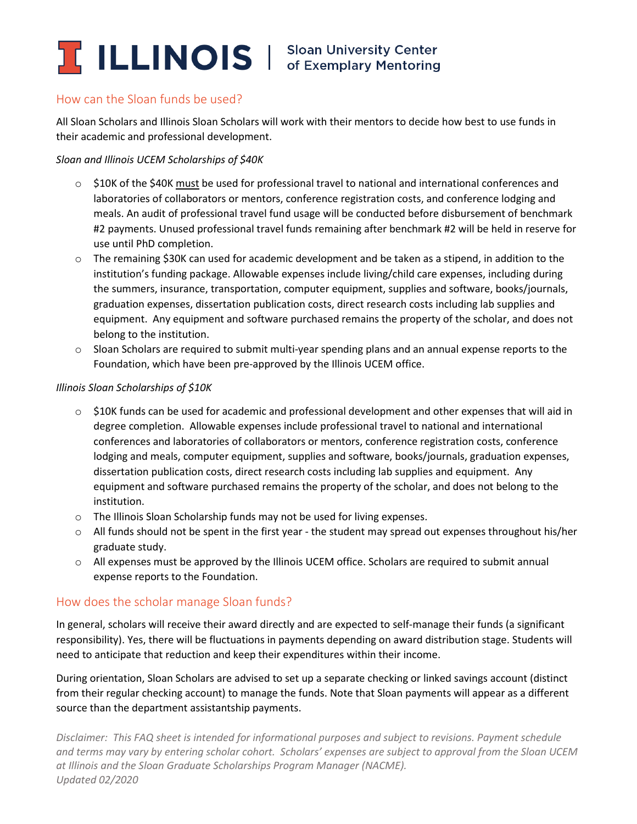

#### How can the Sloan funds be used?

All Sloan Scholars and Illinois Sloan Scholars will work with their mentors to decide how best to use funds in their academic and professional development.

#### *Sloan and Illinois UCEM Scholarships of \$40K*

- $\circ$  \$10K of the \$40K must be used for professional travel to national and international conferences and laboratories of collaborators or mentors, conference registration costs, and conference lodging and meals. An audit of professional travel fund usage will be conducted before disbursement of benchmark #2 payments. Unused professional travel funds remaining after benchmark #2 will be held in reserve for use until PhD completion.
- o The remaining \$30K can used for academic development and be taken as a stipend, in addition to the institution's funding package. Allowable expenses include living/child care expenses, including during the summers, insurance, transportation, computer equipment, supplies and software, books/journals, graduation expenses, dissertation publication costs, direct research costs including lab supplies and equipment. Any equipment and software purchased remains the property of the scholar, and does not belong to the institution.
- $\circ$  Sloan Scholars are required to submit multi-year spending plans and an annual expense reports to the Foundation, which have been pre-approved by the Illinois UCEM office.

#### *Illinois Sloan Scholarships of \$10K*

- $\circ$  \$10K funds can be used for academic and professional development and other expenses that will aid in degree completion. Allowable expenses include professional travel to national and international conferences and laboratories of collaborators or mentors, conference registration costs, conference lodging and meals, computer equipment, supplies and software, books/journals, graduation expenses, dissertation publication costs, direct research costs including lab supplies and equipment. Any equipment and software purchased remains the property of the scholar, and does not belong to the institution.
- o The Illinois Sloan Scholarship funds may not be used for living expenses.
- o All funds should not be spent in the first year the student may spread out expenses throughout his/her graduate study.
- $\circ$  All expenses must be approved by the Illinois UCEM office. Scholars are required to submit annual expense reports to the Foundation.

#### How does the scholar manage Sloan funds?

In general, scholars will receive their award directly and are expected to self-manage their funds (a significant responsibility). Yes, there will be fluctuations in payments depending on award distribution stage. Students will need to anticipate that reduction and keep their expenditures within their income.

During orientation, Sloan Scholars are advised to set up a separate checking or linked savings account (distinct from their regular checking account) to manage the funds. Note that Sloan payments will appear as a different source than the department assistantship payments.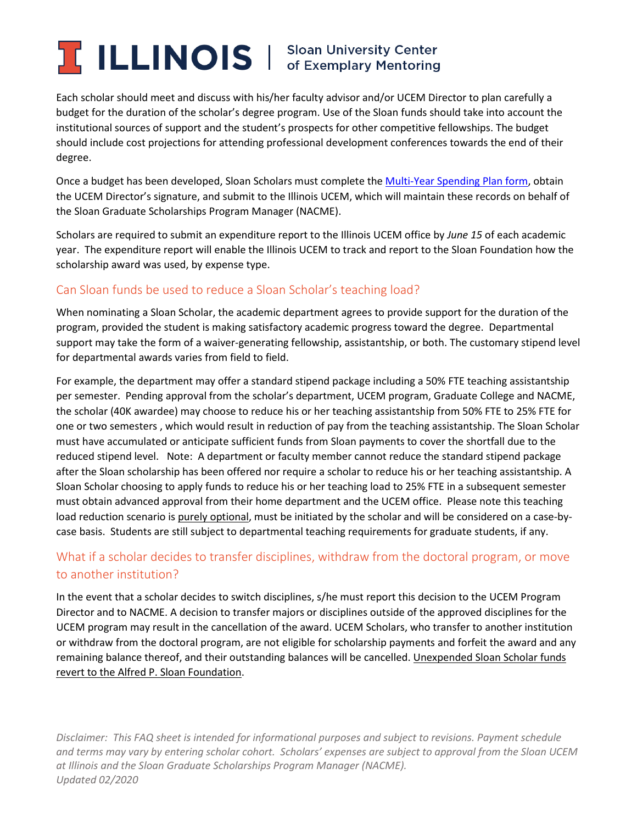## **ILLINOIS** Sloan University Center

Each scholar should meet and discuss with his/her faculty advisor and/or UCEM Director to plan carefully a budget for the duration of the scholar's degree program. Use of the Sloan funds should take into account the institutional sources of support and the student's prospects for other competitive fellowships. The budget should include cost projections for attending professional development conferences towards the end of their degree.

Once a budget has been developed, Sloan Scholars must complete th[e Multi-Year Spending Plan form,](http://sloanphds.org/media/pdfs/UCEMSpendingPlan.pdf) obtain the UCEM Director's signature, and submit to the Illinois UCEM, which will maintain these records on behalf of the Sloan Graduate Scholarships Program Manager (NACME).

Scholars are required to submit an expenditure report to the Illinois UCEM office by *June 15* of each academic year. The expenditure report will enable the Illinois UCEM to track and report to the Sloan Foundation how the scholarship award was used, by expense type.

## Can Sloan funds be used to reduce a Sloan Scholar's teaching load?

When nominating a Sloan Scholar, the academic department agrees to provide support for the duration of the program, provided the student is making satisfactory academic progress toward the degree. Departmental support may take the form of a waiver-generating fellowship, assistantship, or both. The customary stipend level for departmental awards varies from field to field.

For example, the department may offer a standard stipend package including a 50% FTE teaching assistantship per semester. Pending approval from the scholar's department, UCEM program, Graduate College and NACME, the scholar (40K awardee) may choose to reduce his or her teaching assistantship from 50% FTE to 25% FTE for one or two semesters , which would result in reduction of pay from the teaching assistantship. The Sloan Scholar must have accumulated or anticipate sufficient funds from Sloan payments to cover the shortfall due to the reduced stipend level. Note: A department or faculty member cannot reduce the standard stipend package after the Sloan scholarship has been offered nor require a scholar to reduce his or her teaching assistantship. A Sloan Scholar choosing to apply funds to reduce his or her teaching load to 25% FTE in a subsequent semester must obtain advanced approval from their home department and the UCEM office. Please note this teaching load reduction scenario is purely optional, must be initiated by the scholar and will be considered on a case-bycase basis. Students are still subject to departmental teaching requirements for graduate students, if any.

## What if a scholar decides to transfer disciplines, withdraw from the doctoral program, or move to another institution?

In the event that a scholar decides to switch disciplines, s/he must report this decision to the UCEM Program Director and to NACME. A decision to transfer majors or disciplines outside of the approved disciplines for the UCEM program may result in the cancellation of the award. UCEM Scholars, who transfer to another institution or withdraw from the doctoral program, are not eligible for scholarship payments and forfeit the award and any remaining balance thereof, and their outstanding balances will be cancelled. Unexpended Sloan Scholar funds revert to the Alfred P. Sloan Foundation.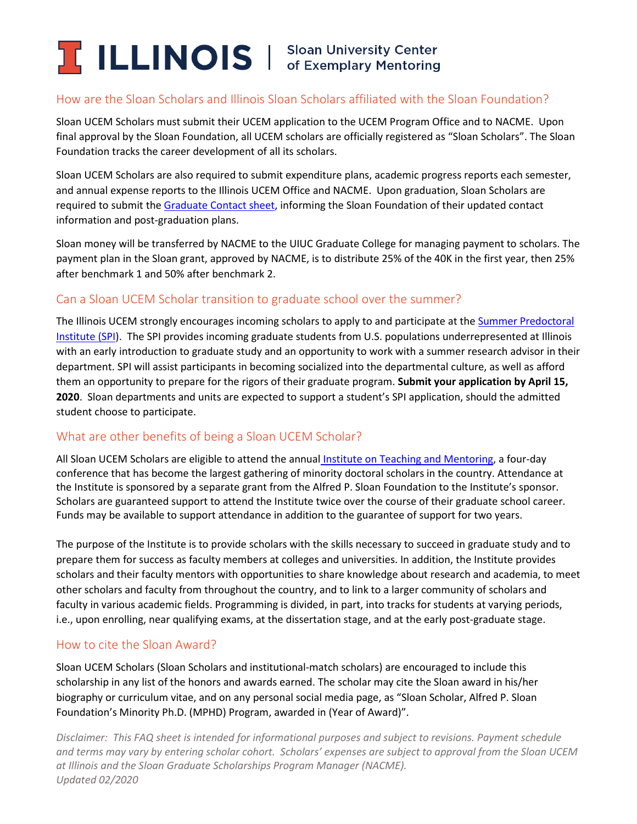## **ILLINOIS** Sloan University Center

## How are the Sloan Scholars and Illinois Sloan Scholars affiliated with the Sloan Foundation?

Sloan UCEM Scholars must submit their UCEM application to the UCEM Program Office and to NACME. Upon final approval by the Sloan Foundation, all UCEM scholars are officially registered as "Sloan Scholars". The Sloan Foundation tracks the career development of all its scholars.

Sloan UCEM Scholars are also required to submit expenditure plans, academic progress reports each semester, and annual expense reports to the Illinois UCEM Office and NACME. Upon graduation, Sloan Scholars are required to submit th[e Graduate Contact sheet,](http://sloanphds.org/media/pdfs/MPHDGraduateContactSheet.pdf) informing the Sloan Foundation of their updated contact information and post-graduation plans.

Sloan money will be transferred by NACME to the UIUC Graduate College for managing payment to scholars. The payment plan in the Sloan grant, approved by NACME, is to distribute 25% of the 40K in the first year, then 25% after benchmark 1 and 50% after benchmark 2.

## Can a Sloan UCEM Scholar transition to graduate school over the summer?

The Illinois UCEM strongly encourages incoming scholars to apply to and participate at th[e Summer Predoctoral](http://www.grad.illinois.edu/spi)  [Institute \(SPI\)](http://www.grad.illinois.edu/spi). The SPI provides incoming graduate students from U.S. populations underrepresented at Illinois with an early introduction to graduate study and an opportunity to work with a summer research advisor in their department. SPI will assist participants in becoming socialized into the departmental culture, as well as afford them an opportunity to prepare for the rigors of their graduate program. **Submit your application by April 15, 2020**. Sloan departments and units are expected to support a student's SPI application, should the admitted student choose to participate.

## What are other benefits of being a Sloan UCEM Scholar?

All Sloan UCEM Scholars are eligible to attend the annual [Institute on Teaching and Mentoring,](http://www.instituteonteachingandmentoring.org/) a four-day conference that has become the largest gathering of minority doctoral scholars in the country. Attendance at the Institute is sponsored by a separate grant from the Alfred P. Sloan Foundation to the Institute's sponsor. Scholars are guaranteed support to attend the Institute twice over the course of their graduate school career. Funds may be available to support attendance in addition to the guarantee of support for two years.

The purpose of the Institute is to provide scholars with the skills necessary to succeed in graduate study and to prepare them for success as faculty members at colleges and universities. In addition, the Institute provides scholars and their faculty mentors with opportunities to share knowledge about research and academia, to meet other scholars and faculty from throughout the country, and to link to a larger community of scholars and faculty in various academic fields. Programming is divided, in part, into tracks for students at varying periods, i.e., upon enrolling, near qualifying exams, at the dissertation stage, and at the early post-graduate stage.

#### How to cite the Sloan Award?

Sloan UCEM Scholars (Sloan Scholars and institutional-match scholars) are encouraged to include this scholarship in any list of the honors and awards earned. The scholar may cite the Sloan award in his/her biography or curriculum vitae, and on any personal social media page, as "Sloan Scholar, Alfred P. Sloan Foundation's Minority Ph.D. (MPHD) Program, awarded in (Year of Award)".